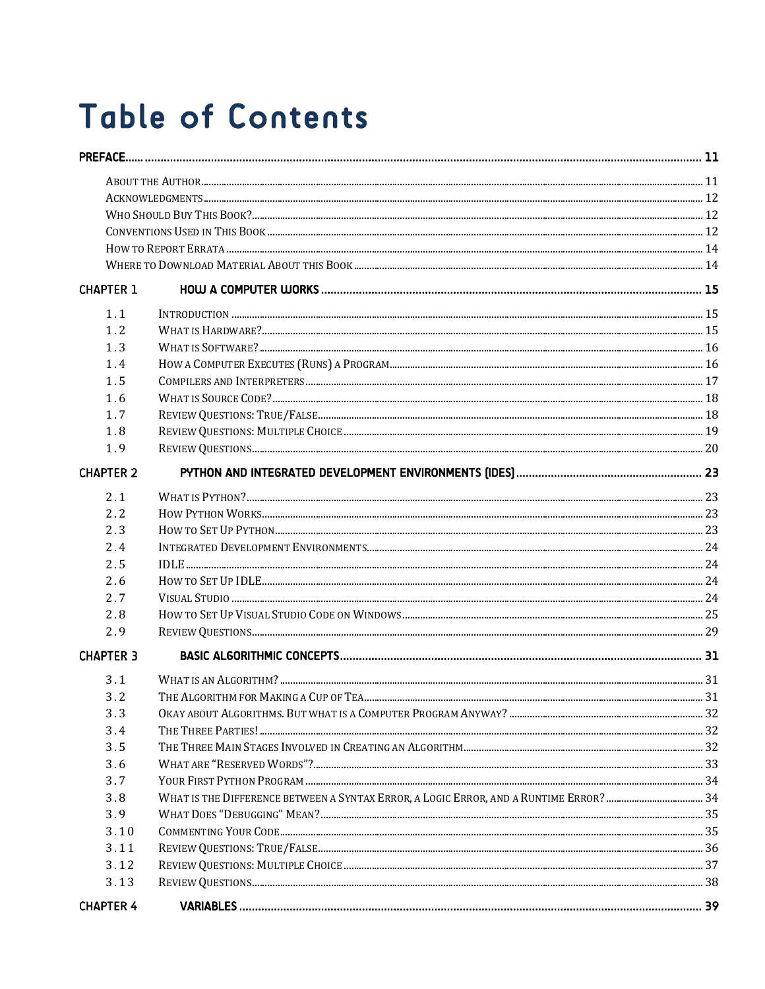## **Table of Contents**

| <b>CHAPTER 1</b> |  |  |  |
|------------------|--|--|--|
| 1.1              |  |  |  |
| 1.2              |  |  |  |
| 1.3              |  |  |  |
| 1.4              |  |  |  |
| 1.5              |  |  |  |
| 1.6              |  |  |  |
| 1.7              |  |  |  |
| 1.8              |  |  |  |
| 1.9              |  |  |  |
| <b>CHAPTER 2</b> |  |  |  |
| 2.1              |  |  |  |
| 2.2              |  |  |  |
| 2.3              |  |  |  |
| 2.4              |  |  |  |
| 2.5              |  |  |  |
| 2.6              |  |  |  |
| 2.7              |  |  |  |
| 2.8              |  |  |  |
| 2.9              |  |  |  |
| <b>CHAPTER 3</b> |  |  |  |
| 3.1              |  |  |  |
| 3.2              |  |  |  |
| 3.3              |  |  |  |
| 3.4              |  |  |  |
| 3.5              |  |  |  |
| 3.6              |  |  |  |
| 3.7              |  |  |  |
| 3.8              |  |  |  |
| 3.9              |  |  |  |
| 3.10             |  |  |  |
| 3.11             |  |  |  |
| 3.12             |  |  |  |
| 3.13             |  |  |  |
| <b>CHAPTER 4</b> |  |  |  |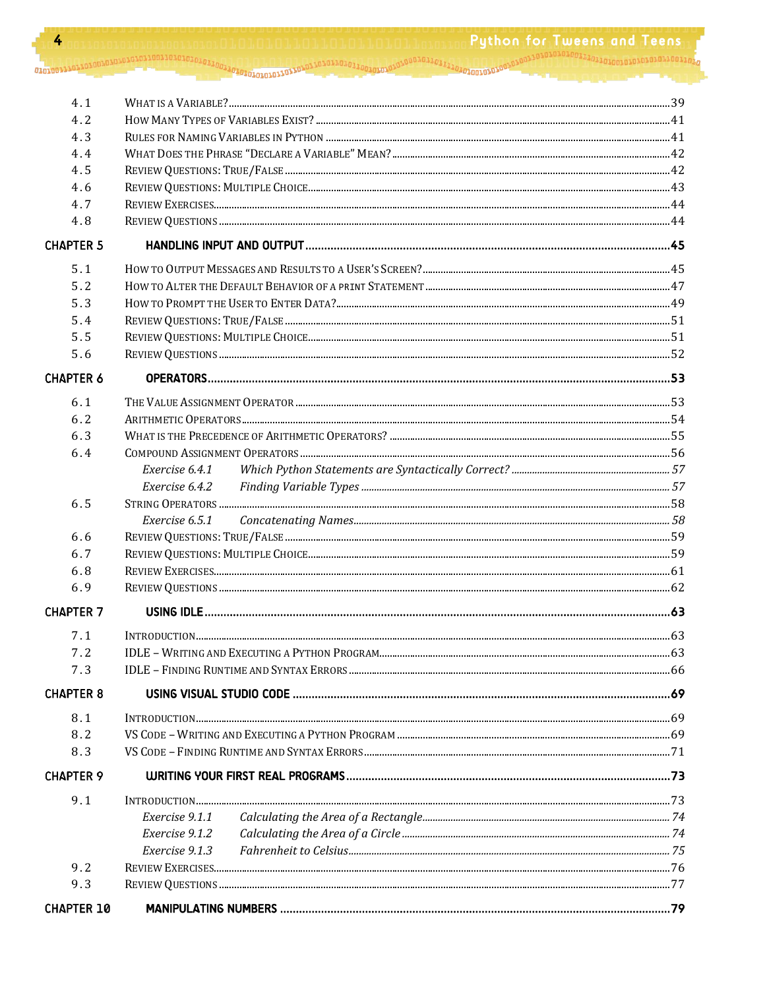| 4                 | <b>Puthon for Tweens and Teens</b> |  |  |
|-------------------|------------------------------------|--|--|
|                   |                                    |  |  |
| 4.1               |                                    |  |  |
| 4.2               |                                    |  |  |
| 4.3               |                                    |  |  |
| 4.4               |                                    |  |  |
| 4.5               |                                    |  |  |
| 4.6               |                                    |  |  |
| 4.7               |                                    |  |  |
| 4.8               |                                    |  |  |
| <b>CHAPTER 5</b>  |                                    |  |  |
| 5.1               |                                    |  |  |
| 5.2               |                                    |  |  |
| 5.3               |                                    |  |  |
| 5.4               |                                    |  |  |
| 5.5               |                                    |  |  |
| 5.6               |                                    |  |  |
| <b>CHAPTER 6</b>  |                                    |  |  |
| 6.1               |                                    |  |  |
| 6.2               |                                    |  |  |
| 6.3               |                                    |  |  |
| 6.4               |                                    |  |  |
|                   | Exercise 6.4.1                     |  |  |
|                   | Exercise 6.4.2                     |  |  |
| 6.5               |                                    |  |  |
|                   | Exercise 6.5.1                     |  |  |
| 6.6               |                                    |  |  |
| 6.7               |                                    |  |  |
| 6.8               |                                    |  |  |
| 6.9               |                                    |  |  |
| <b>CHAPTER 7</b>  |                                    |  |  |
| 7.1               |                                    |  |  |
| 7.2               |                                    |  |  |
| 7.3               |                                    |  |  |
| <b>CHAPTER 8</b>  |                                    |  |  |
| 8.1               |                                    |  |  |
| 8.2               |                                    |  |  |
| 8.3               |                                    |  |  |
| <b>CHAPTER 9</b>  |                                    |  |  |
| 9.1               |                                    |  |  |
|                   | Exercise 9.1.1                     |  |  |
|                   | Exercise 9.1.2                     |  |  |
|                   | Exercise 9.1.3                     |  |  |
| 9.2               |                                    |  |  |
| 9.3               |                                    |  |  |
| <b>CHAPTER 10</b> |                                    |  |  |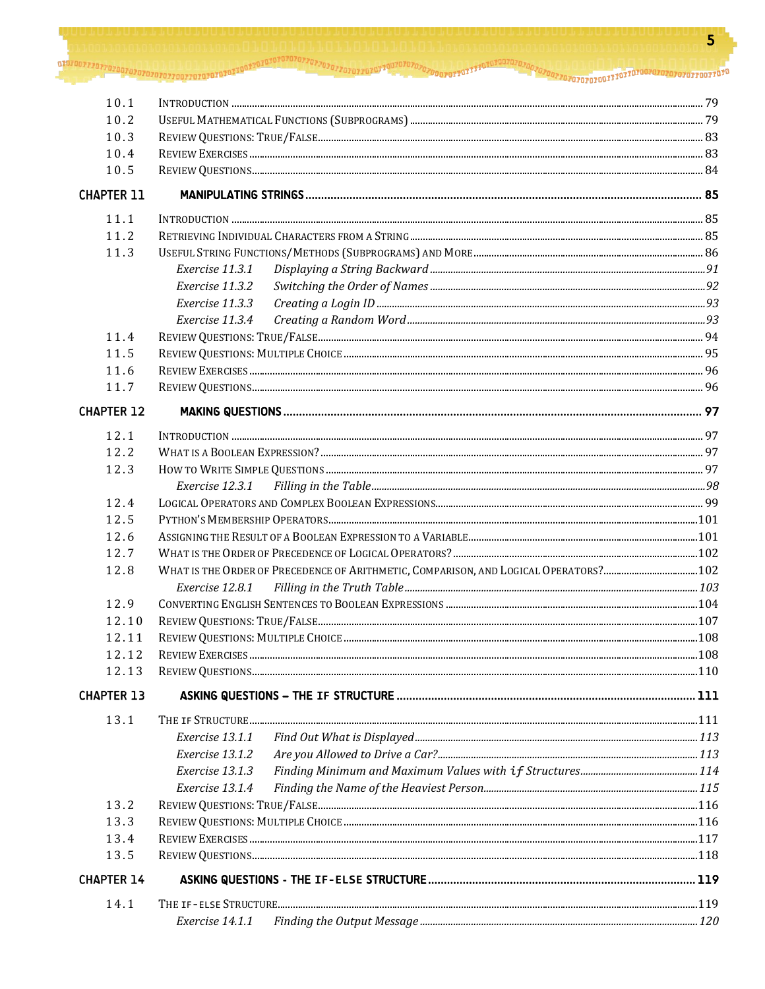| 10.1              |                                                                                      |  |  |
|-------------------|--------------------------------------------------------------------------------------|--|--|
| 10.2              |                                                                                      |  |  |
| 10.3              |                                                                                      |  |  |
| 10.4              |                                                                                      |  |  |
| 10.5              |                                                                                      |  |  |
| <b>CHAPTER 11</b> |                                                                                      |  |  |
| 11.1              |                                                                                      |  |  |
| 11.2              |                                                                                      |  |  |
| 11.3              |                                                                                      |  |  |
|                   | Exercise 11.3.1                                                                      |  |  |
|                   | Exercise 11.3.2                                                                      |  |  |
|                   | Exercise 11.3.3                                                                      |  |  |
|                   | Exercise 11.3.4                                                                      |  |  |
| 11.4              |                                                                                      |  |  |
| 11.5              |                                                                                      |  |  |
| 11.6              |                                                                                      |  |  |
| 11.7              |                                                                                      |  |  |
| <b>CHAPTER 12</b> |                                                                                      |  |  |
| 12.1              |                                                                                      |  |  |
| 12.2              |                                                                                      |  |  |
| 12.3              |                                                                                      |  |  |
|                   | Exercise 12.3.1                                                                      |  |  |
| 12.4              |                                                                                      |  |  |
| 12.5              |                                                                                      |  |  |
| 12.6              |                                                                                      |  |  |
| 12.7              |                                                                                      |  |  |
| 12.8              | WHAT IS THE ORDER OF PRECEDENCE OF ARITHMETIC, COMPARISON, AND LOGICAL OPERATORS?102 |  |  |
|                   | <i>Exercise 12.8.1</i>                                                               |  |  |
| 12.9              |                                                                                      |  |  |
| 12.10             |                                                                                      |  |  |
| 12.11             |                                                                                      |  |  |
| 12.12             |                                                                                      |  |  |
| 12.13             |                                                                                      |  |  |
| <b>CHAPTER 13</b> |                                                                                      |  |  |
| 13.1              |                                                                                      |  |  |
|                   | Exercise 13.1.1                                                                      |  |  |
|                   | Exercise 13.1.2                                                                      |  |  |
|                   | Exercise 13.1.3                                                                      |  |  |
|                   | Exercise 13.1.4                                                                      |  |  |
| 13.2              |                                                                                      |  |  |
| 13.3              |                                                                                      |  |  |
| 13.4              |                                                                                      |  |  |
| 13.5              |                                                                                      |  |  |
| <b>CHAPTER 14</b> |                                                                                      |  |  |
| 14.1              |                                                                                      |  |  |
|                   | Exercise 14.1.1                                                                      |  |  |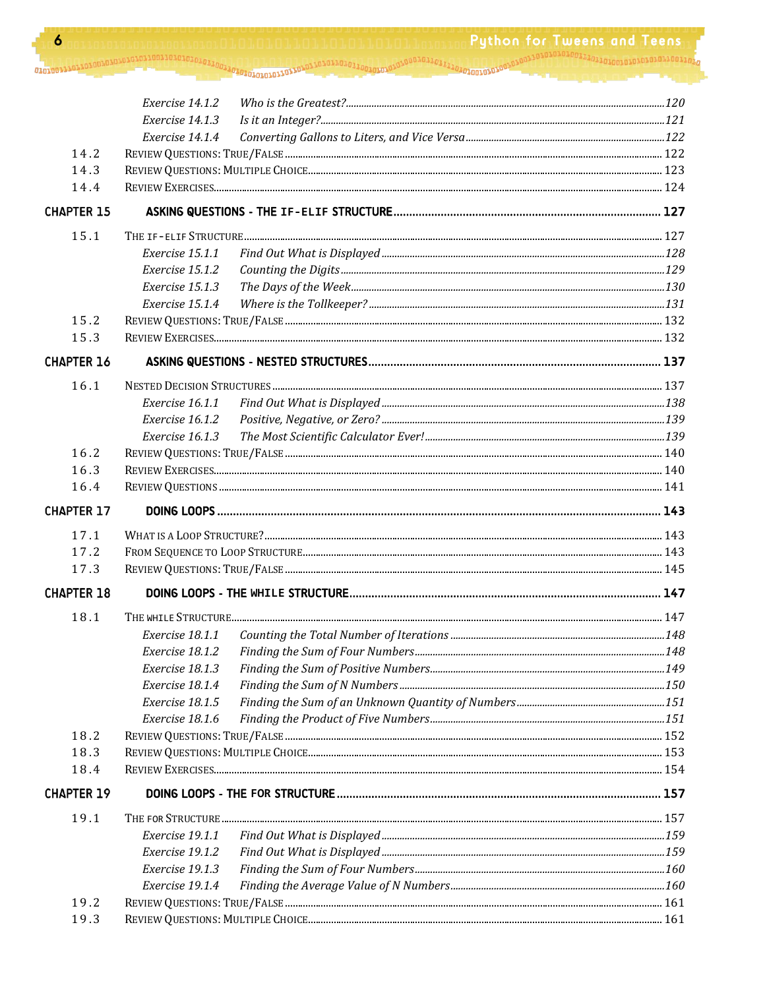Python for Tweens and Teens 

|                   | Exercise 14.1.2 |  |  |
|-------------------|-----------------|--|--|
|                   | Exercise 14.1.3 |  |  |
|                   | Exercise 14.1.4 |  |  |
| 14.2              |                 |  |  |
| 14.3              |                 |  |  |
| 14.4              |                 |  |  |
| <b>CHAPTER 15</b> |                 |  |  |
| 15.1              |                 |  |  |
|                   | Exercise 15.1.1 |  |  |
|                   | Exercise 15.1.2 |  |  |
|                   | Exercise 15.1.3 |  |  |
|                   | Exercise 15.1.4 |  |  |
| 15.2              |                 |  |  |
| 15.3              |                 |  |  |
| <b>CHAPTER 16</b> |                 |  |  |
| 16.1              |                 |  |  |
|                   | Exercise 16.1.1 |  |  |
|                   | Exercise 16.1.2 |  |  |
|                   | Exercise 16.1.3 |  |  |
| 16.2              |                 |  |  |
| 16.3              |                 |  |  |
| 16.4              |                 |  |  |
| <b>CHAPTER 17</b> |                 |  |  |
| 17.1              |                 |  |  |
| 17.2              |                 |  |  |
| 17.3              |                 |  |  |
| <b>CHAPTER 18</b> |                 |  |  |
| 18.1              |                 |  |  |
|                   | Exercise 18.1.1 |  |  |
|                   | Exercise 18.1.2 |  |  |
|                   | Exercise 18.1.3 |  |  |
|                   | Exercise 18.1.4 |  |  |
|                   | Exercise 18.1.5 |  |  |
|                   | Exercise 18.1.6 |  |  |
| 18.2              |                 |  |  |
| 18.3              |                 |  |  |
| 18.4              |                 |  |  |
| <b>CHAPTER 19</b> |                 |  |  |
| 19.1              |                 |  |  |
|                   | Exercise 19.1.1 |  |  |
|                   | Exercise 19.1.2 |  |  |
|                   | Exercise 19.1.3 |  |  |
|                   | Exercise 19.1.4 |  |  |
| 19.2              |                 |  |  |
| 19.3              |                 |  |  |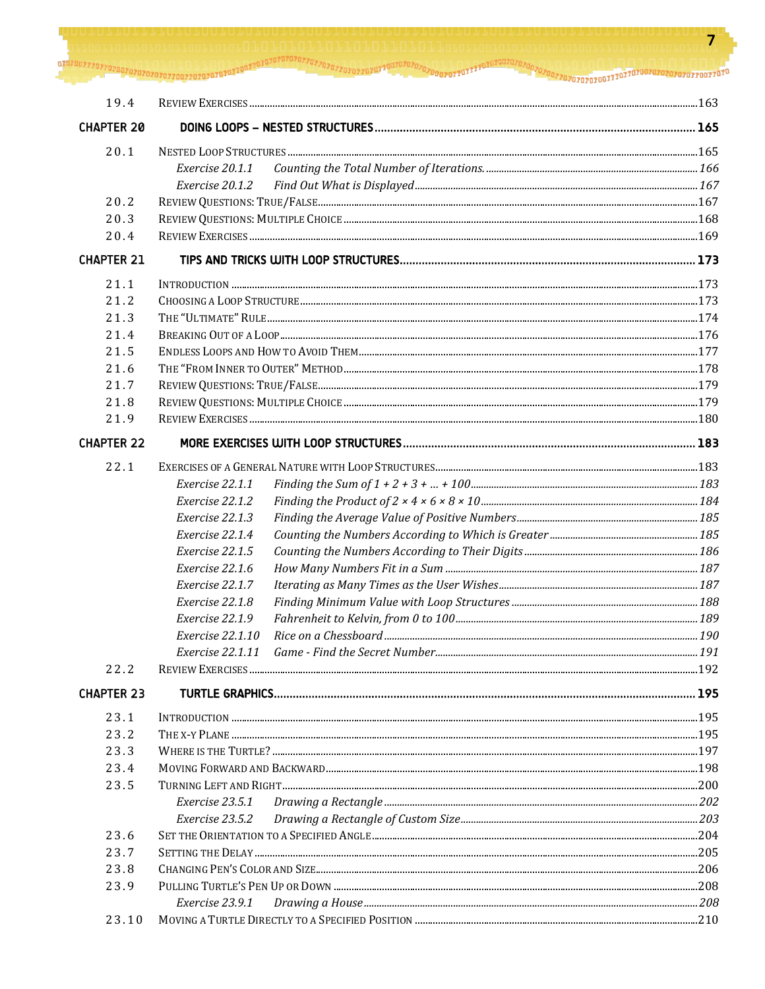707077070707070707070707070707070707111 OINTOUTTOTTTTTT 194 **CHAPTER 20**  $20.1$ Exercise 20.1.1 Exercise 20.1.2  $20.2$  $203$  $20.4$ **CHAPTER 21**  $21.1$  $212$ CHOOSING A LOOP STRUCTURE 22  $213$  $214$  $21.5$  $21.6$ 21.7 21.8  $219$ REVIEW EXERCISES 180 **CHAPTER 22**  $22.1$ Exercise 22.1.1 Exercise 22.1.2 Exercise 22.1.3 Exercise 22.1.4 Exercise 22.1.5 Exercise 22.1.6 Exercise 22.1.7 Exercise 22.1.8 Exercise 22.1.9 Exercise 22.1.10 Exercise 22.1.11  $22.2$ **CHAPTER 23**  $23.1$ 23.2 23.3 23.4 23.5 Exercise 23.5.1 Exercise 23.5.2  $236$ 23.7 23.8 23.9 Exercise 23.9.1

23.10

7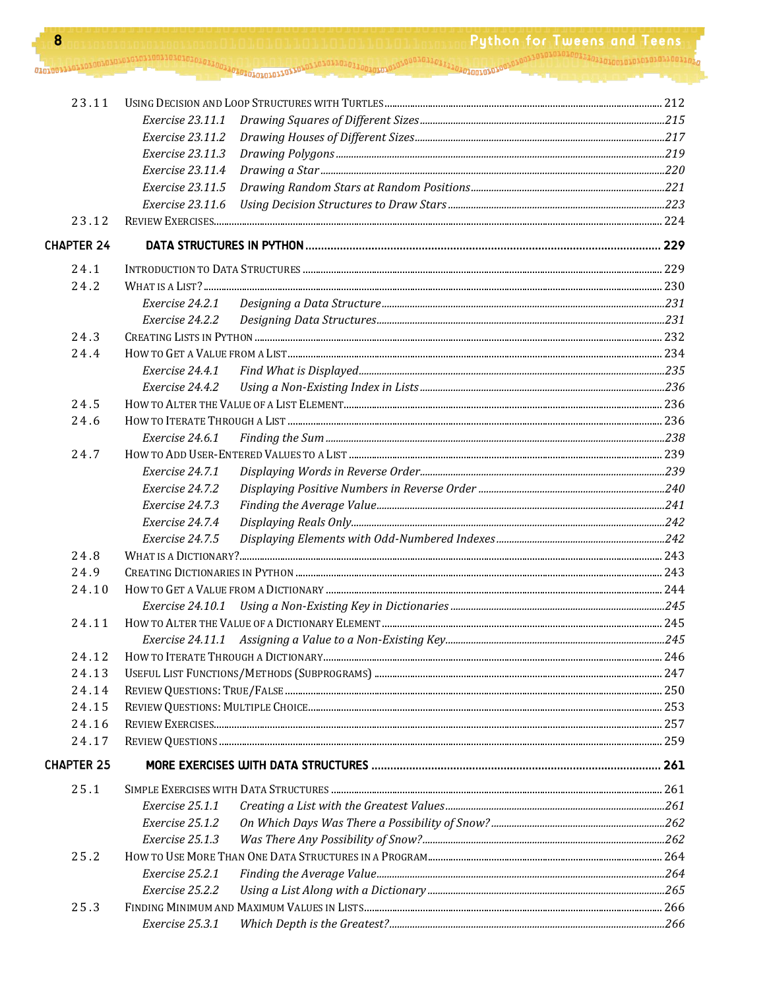| 8                 |                         | <b>Python for Tweens and Teens</b> |
|-------------------|-------------------------|------------------------------------|
|                   |                         |                                    |
|                   |                         |                                    |
| 23.11             |                         |                                    |
|                   | <i>Exercise 23.11.1</i> |                                    |
|                   | Exercise 23.11.2        |                                    |
|                   | Exercise 23.11.3        |                                    |
|                   | Exercise 23.11.4        |                                    |
|                   | Exercise 23.11.5        |                                    |
|                   | Exercise 23.11.6        |                                    |
| 23.12             |                         |                                    |
| <b>CHAPTER 24</b> |                         |                                    |
| 24.1              |                         |                                    |
| 24.2              |                         |                                    |
|                   | Exercise 24.2.1         |                                    |
|                   | Exercise 24.2.2         |                                    |
| 24.3              |                         |                                    |
| 24.4              |                         |                                    |
|                   | Exercise 24.4.1         |                                    |
|                   | Exercise 24.4.2         |                                    |
| 24.5              |                         |                                    |
| 24.6              |                         |                                    |
|                   | Exercise 24.6.1         |                                    |
| 24.7              |                         |                                    |
|                   | Exercise 24.7.1         |                                    |
|                   | Exercise 24.7.2         |                                    |
|                   | Exercise 24.7.3         |                                    |
|                   | Exercise 24.7.4         |                                    |
|                   | Exercise 24.7.5         |                                    |
| 24.8              |                         |                                    |
| 24.9              |                         | . 243                              |
| 24.10             |                         |                                    |
|                   | <i>Exercise 24.10.1</i> |                                    |
| 24.11             |                         |                                    |
|                   |                         |                                    |
| 24.12             |                         |                                    |
| 24.13             |                         |                                    |
| 24.14             |                         |                                    |
| 24.15             |                         |                                    |
| 24.16             |                         |                                    |
| 24.17             |                         |                                    |
| <b>CHAPTER 25</b> |                         |                                    |
| 25.1              |                         |                                    |
|                   | Exercise 25.1.1         |                                    |
|                   | Exercise 25.1.2         |                                    |
|                   | Exercise 25.1.3         |                                    |
| 25.2              |                         |                                    |
|                   | Exercise 25.2.1         |                                    |
|                   | Exercise 25.2.2         |                                    |
| 25.3              |                         |                                    |
|                   | Exercise 25.3.1         |                                    |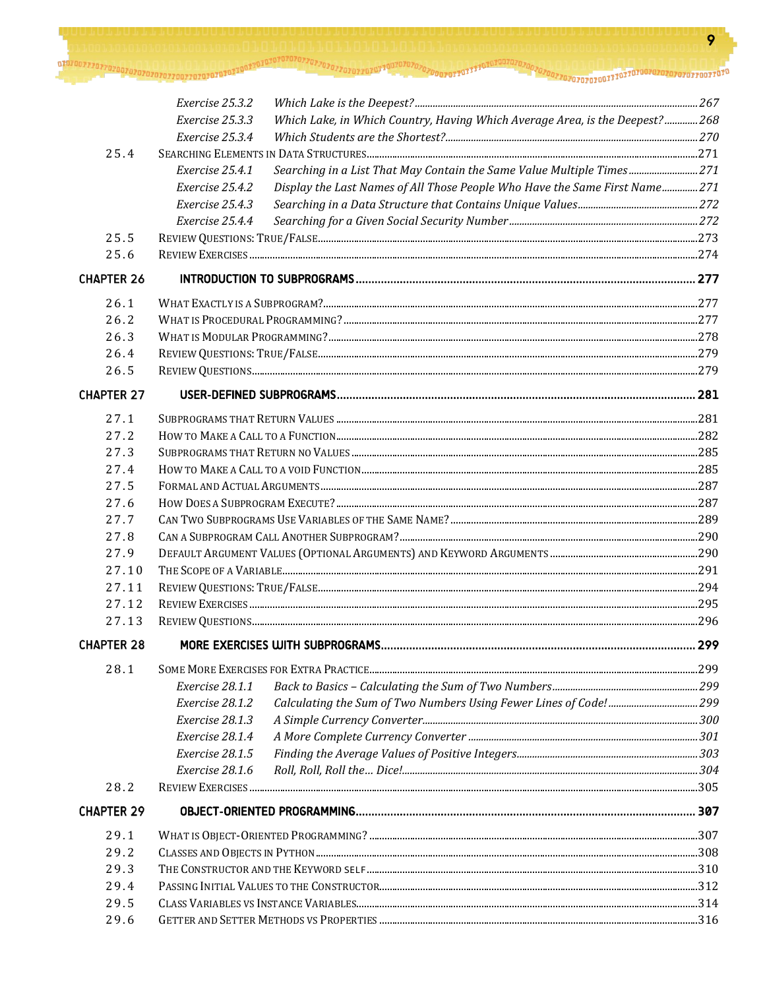9

|                   | Exercise 25.3.2                                                                                |     |  |
|-------------------|------------------------------------------------------------------------------------------------|-----|--|
|                   | Which Lake, in Which Country, Having Which Average Area, is the Deepest?268<br>Exercise 25.3.3 |     |  |
|                   | Exercise 25.3.4                                                                                |     |  |
| 25.4              |                                                                                                |     |  |
|                   | Searching in a List That May Contain the Same Value Multiple Times 271<br>Exercise 25.4.1      |     |  |
|                   | Display the Last Names of All Those People Who Have the Same First Name271<br>Exercise 25.4.2  |     |  |
|                   | Exercise 25.4.3                                                                                |     |  |
|                   | Exercise 25.4.4                                                                                |     |  |
| 25.5              |                                                                                                |     |  |
| 25.6              |                                                                                                |     |  |
| <b>CHAPTER 26</b> |                                                                                                |     |  |
| 26.1              |                                                                                                |     |  |
| 26.2              |                                                                                                |     |  |
| 26.3              |                                                                                                |     |  |
| 26.4              |                                                                                                |     |  |
| 26.5              |                                                                                                |     |  |
| <b>CHAPTER 27</b> |                                                                                                |     |  |
| 27.1              |                                                                                                |     |  |
| 27.2              |                                                                                                |     |  |
| 27.3              |                                                                                                |     |  |
| 27.4              |                                                                                                |     |  |
| 27.5              |                                                                                                |     |  |
| 27.6              |                                                                                                |     |  |
| 27.7              |                                                                                                |     |  |
| 27.8              |                                                                                                |     |  |
| 27.9              |                                                                                                |     |  |
| 27.10             |                                                                                                |     |  |
| 27.11             |                                                                                                |     |  |
| 27.12             |                                                                                                |     |  |
| 27.13             |                                                                                                |     |  |
| <b>CHAPTER 28</b> |                                                                                                | 299 |  |
| 28.1              |                                                                                                |     |  |
|                   | Exercise 28.1.1                                                                                |     |  |
|                   | Exercise 28.1.2                                                                                |     |  |
|                   | Exercise 28.1.3                                                                                |     |  |
|                   | Exercise 28.1.4                                                                                |     |  |
|                   | Exercise 28.1.5                                                                                |     |  |
|                   | Exercise 28.1.6                                                                                |     |  |
| 28.2              |                                                                                                |     |  |
| <b>CHAPTER 29</b> |                                                                                                |     |  |
| 29.1              |                                                                                                |     |  |
| 29.2              |                                                                                                |     |  |
| 29.3              |                                                                                                |     |  |
| 29.4              |                                                                                                |     |  |
| 29.5              |                                                                                                |     |  |
| 29.6              |                                                                                                |     |  |